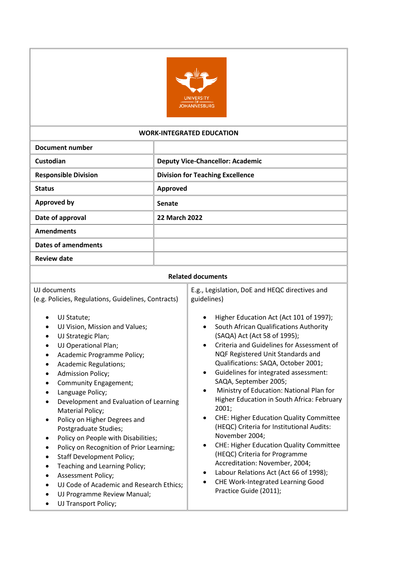

#### **WORK-INTEGRATED EDUCATION**

| <b>Document number</b>      |                                         |
|-----------------------------|-----------------------------------------|
| Custodian                   | <b>Deputy Vice-Chancellor: Academic</b> |
| <b>Responsible Division</b> | <b>Division for Teaching Excellence</b> |
| <b>Status</b>               | Approved                                |
| <b>Approved by</b>          | Senate                                  |
| Date of approval            | <b>22 March 2022</b>                    |
| <b>Amendments</b>           |                                         |
| <b>Dates of amendments</b>  |                                         |
| <b>Review date</b>          |                                         |

#### **Related documents**

| UJ documents<br>(e.g. Policies, Regulations, Guidelines, Contracts)<br>UJ Statute;<br>UJ Vision, Mission and Values;<br>٠<br>UJ Strategic Plan;<br>UJ Operational Plan;<br>Academic Programme Policy;<br>Academic Regulations;<br>$\bullet$<br><b>Admission Policy;</b>                                                                                                                                                                                                     | E.g., Legislation, DoE and HEQC directives and<br>guidelines)<br>Higher Education Act (Act 101 of 1997);<br>South African Qualifications Authority<br>(SAQA) Act (Act 58 of 1995);<br>Criteria and Guidelines for Assessment of<br>NQF Registered Unit Standards and<br>Qualifications: SAQA, October 2001;<br>Guidelines for integrated assessment:<br>$\bullet$                                                                                                          |
|-----------------------------------------------------------------------------------------------------------------------------------------------------------------------------------------------------------------------------------------------------------------------------------------------------------------------------------------------------------------------------------------------------------------------------------------------------------------------------|----------------------------------------------------------------------------------------------------------------------------------------------------------------------------------------------------------------------------------------------------------------------------------------------------------------------------------------------------------------------------------------------------------------------------------------------------------------------------|
| Language Policy;<br>Development and Evaluation of Learning<br>Material Policy;<br>Policy on Higher Degrees and<br>$\bullet$<br>Postgraduate Studies;<br>Policy on People with Disabilities;<br>$\bullet$<br>Policy on Recognition of Prior Learning;<br>٠<br><b>Staff Development Policy;</b><br>Teaching and Learning Policy;<br>$\bullet$<br><b>Assessment Policy;</b><br>UJ Code of Academic and Research Ethics;<br>UJ Programme Review Manual;<br>UJ Transport Policy; | Ministry of Education: National Plan for<br>$\bullet$<br>Higher Education in South Africa: February<br>2001;<br><b>CHE: Higher Education Quality Committee</b><br>٠<br>(HEQC) Criteria for Institutional Audits:<br>November 2004;<br><b>CHE: Higher Education Quality Committee</b><br>٠<br>(HEQC) Criteria for Programme<br>Accreditation: November, 2004;<br>Labour Relations Act (Act 66 of 1998);<br>٠<br>CHE Work-Integrated Learning Good<br>Practice Guide (2011); |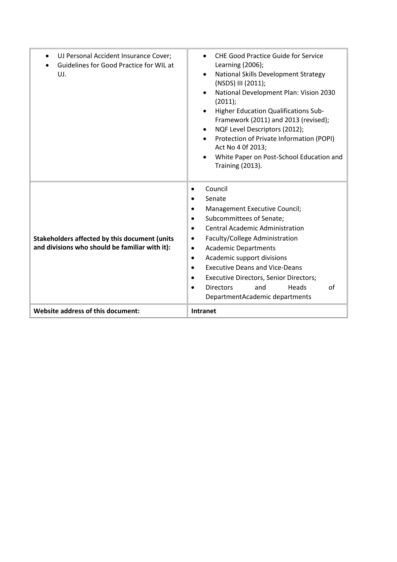| UJ Personal Accident Insurance Cover;<br>Guidelines for Good Practice for WIL at<br>UJ.                | <b>CHE Good Practice Guide for Service</b><br>Learning (2006);<br>National Skills Development Strategy<br>$\bullet$<br>(NSDS) III (2011);<br>National Development Plan: Vision 2030<br>(2011);<br>Higher Education Qualifications Sub-<br>Framework (2011) and 2013 (revised);<br>NQF Level Descriptors (2012);<br>$\bullet$<br>Protection of Private Information (POPI)<br>Act No 4 0f 2013;<br>White Paper on Post-School Education and<br><b>Training (2013).</b> |
|--------------------------------------------------------------------------------------------------------|----------------------------------------------------------------------------------------------------------------------------------------------------------------------------------------------------------------------------------------------------------------------------------------------------------------------------------------------------------------------------------------------------------------------------------------------------------------------|
| <b>Stakeholders affected by this document (units</b><br>and divisions who should be familiar with it): | Council<br>٠<br>Senate<br>Management Executive Council;<br>Subcommittees of Senate;<br><b>Central Academic Administration</b><br>Faculty/College Administration<br>٠<br><b>Academic Departments</b><br>$\bullet$<br>Academic support divisions<br>$\bullet$<br><b>Executive Deans and Vice-Deans</b><br><b>Executive Directors, Senior Directors;</b><br><b>Directors</b><br>and<br>Heads<br>Ωf<br>DepartmentAcademic departments                                    |
| Website address of this document:                                                                      | Intranet                                                                                                                                                                                                                                                                                                                                                                                                                                                             |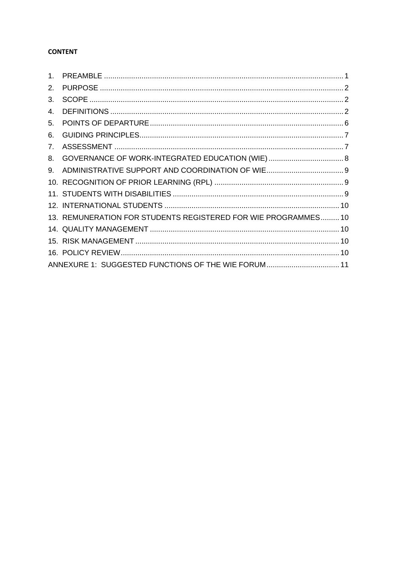# **CONTENT**

| 1 <sub>1</sub> |                                                                |  |
|----------------|----------------------------------------------------------------|--|
| 2.             |                                                                |  |
| 3.             |                                                                |  |
| 4.             |                                                                |  |
| 5.             |                                                                |  |
| 6.             |                                                                |  |
| 7.             |                                                                |  |
| 8.             |                                                                |  |
| 9.             |                                                                |  |
|                |                                                                |  |
|                |                                                                |  |
|                |                                                                |  |
|                | 13. REMUNERATION FOR STUDENTS REGISTERED FOR WIE PROGRAMMES 10 |  |
|                |                                                                |  |
|                |                                                                |  |
|                |                                                                |  |
|                | ANNEXURE 1: SUGGESTED FUNCTIONS OF THE WIE FORUM 11            |  |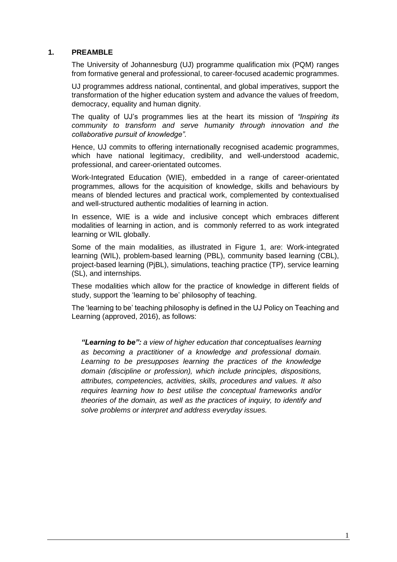## <span id="page-3-0"></span>**1. PREAMBLE**

The University of Johannesburg (UJ) programme qualification mix (PQM) ranges from formative general and professional, to career-focused academic programmes.

UJ programmes address national, continental, and global imperatives, support the transformation of the higher education system and advance the values of freedom, democracy, equality and human dignity.

The quality of UJ's programmes lies at the heart its mission of *"Inspiring its community to transform and serve humanity through innovation and the collaborative pursuit of knowledge".*

Hence, UJ commits to offering internationally recognised academic programmes, which have national legitimacy, credibility, and well-understood academic, professional, and career-orientated outcomes.

Work-Integrated Education (WIE), embedded in a range of career-orientated programmes, allows for the acquisition of knowledge, skills and behaviours by means of blended lectures and practical work, complemented by contextualised and well-structured authentic modalities of learning in action.

In essence, WIE is a wide and inclusive concept which embraces different modalities of learning in action, and is commonly referred to as work integrated learning or WIL globally.

Some of the main modalities, as illustrated in Figure 1, are: Work-integrated learning (WIL), problem-based learning (PBL), community based learning (CBL), project-based learning (PjBL), simulations, teaching practice (TP), service learning (SL), and internships.

These modalities which allow for the practice of knowledge in different fields of study, support the 'learning to be' philosophy of teaching.

The 'learning to be' teaching philosophy is defined in the UJ Policy on Teaching and Learning (approved, 2016), as follows:

*"Learning to be": a view of higher education that conceptualises learning as becoming a practitioner of a knowledge and professional domain. Learning to be presupposes learning the practices of the knowledge domain (discipline or profession), which include principles, dispositions, attributes, competencies, activities, skills, procedures and values. It also requires learning how to best utilise the conceptual frameworks and/or theories of the domain, as well as the practices of inquiry, to identify and solve problems or interpret and address everyday issues.*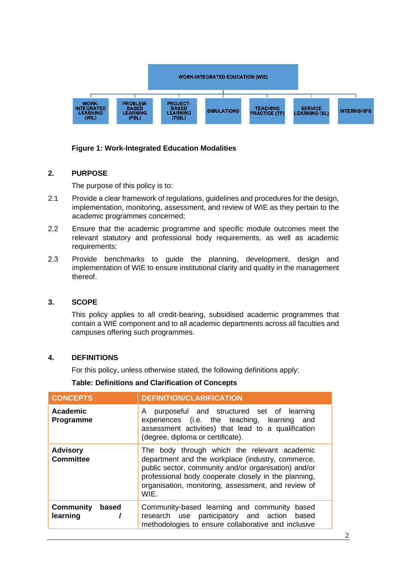

# **Figure 1: Work-Integrated Education Modalities**

# <span id="page-4-0"></span>**2. PURPOSE**

The purpose of this policy is to:

- 2.1 Provide a clear framework of regulations, guidelines and procedures for the design, implementation, monitoring, assessment, and review of WIE as they pertain to the academic programmes concerned;
- 2.2 Ensure that the academic programme and specific module outcomes meet the relevant statutory and professional body requirements, as well as academic requirements;
- 2.3 Provide benchmarks to guide the planning, development, design and implementation of WIE to ensure institutional clarity and quality in the management thereof.

# <span id="page-4-1"></span>**3. SCOPE**

This policy applies to all credit-bearing, subsidised academic programmes that contain a WIE component and to all academic departments across all faculties and campuses offering such programmes.

# <span id="page-4-2"></span>**4. DEFINITIONS**

For this policy, unless otherwise stated, the following definitions apply:

# **Table: Definitions and Clarification of Concepts**

| <b>CONCEPTS</b>                       | <b>DEFINITION/CLARIFICATION</b>                                                                                                                                                                                                                                                  |
|---------------------------------------|----------------------------------------------------------------------------------------------------------------------------------------------------------------------------------------------------------------------------------------------------------------------------------|
| <b>Academic</b><br>Programme          | purposeful and structured set of learning<br>A<br>experiences (i.e. the teaching, learning<br>and<br>assessment activities) that lead to a qualification<br>(degree, diploma or certificate).                                                                                    |
| <b>Advisory</b><br><b>Committee</b>   | The body through which the relevant academic<br>department and the workplace (industry, commerce,<br>public sector, community and/or organisation) and/or<br>professional body cooperate closely in the planning,<br>organisation, monitoring, assessment, and review of<br>WIF. |
| <b>Community</b><br>based<br>learning | Community-based learning and community based<br>participatory and action<br>research use<br>based<br>methodologies to ensure collaborative and inclusive                                                                                                                         |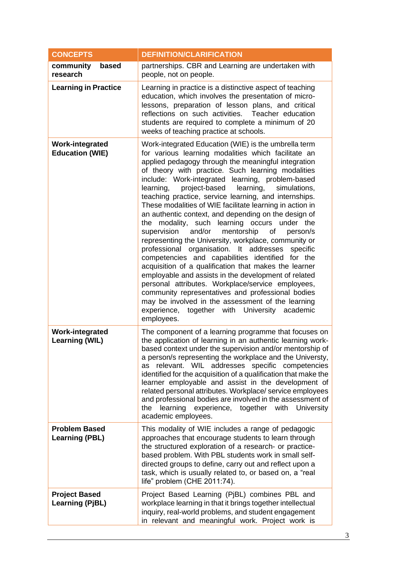| <b>CONCEPTS</b>                                  | <b>DEFINITION/CLARIFICATION</b>                                                                                                                                                                                                                                                                                                                                                                                                                                                                                                                                                                                                                                                                                                                                                                                                                                                                                                                                                                                                                                                                                                    |
|--------------------------------------------------|------------------------------------------------------------------------------------------------------------------------------------------------------------------------------------------------------------------------------------------------------------------------------------------------------------------------------------------------------------------------------------------------------------------------------------------------------------------------------------------------------------------------------------------------------------------------------------------------------------------------------------------------------------------------------------------------------------------------------------------------------------------------------------------------------------------------------------------------------------------------------------------------------------------------------------------------------------------------------------------------------------------------------------------------------------------------------------------------------------------------------------|
| community<br>based<br>research                   | partnerships. CBR and Learning are undertaken with<br>people, not on people.                                                                                                                                                                                                                                                                                                                                                                                                                                                                                                                                                                                                                                                                                                                                                                                                                                                                                                                                                                                                                                                       |
| <b>Learning in Practice</b>                      | Learning in practice is a distinctive aspect of teaching<br>education, which involves the presentation of micro-<br>lessons, preparation of lesson plans, and critical<br>reflections on such activities. Teacher education<br>students are required to complete a minimum of 20<br>weeks of teaching practice at schools.                                                                                                                                                                                                                                                                                                                                                                                                                                                                                                                                                                                                                                                                                                                                                                                                         |
| <b>Work-integrated</b><br><b>Education (WIE)</b> | Work-integrated Education (WIE) is the umbrella term<br>for various learning modalities which facilitate an<br>applied pedagogy through the meaningful integration<br>of theory with practice. Such learning modalities<br>include: Work-integrated learning, problem-based<br>project-based learning,<br>learning,<br>simulations,<br>teaching practice, service learning, and internships.<br>These modalities of WIE facilitate learning in action in<br>an authentic context, and depending on the design of<br>the modality, such learning occurs under the<br>supervision and/or mentorship of<br>person/s<br>representing the University, workplace, community or<br>professional organisation. It addresses<br>specific<br>competencies and capabilities identified for the<br>acquisition of a qualification that makes the learner<br>employable and assists in the development of related<br>personal attributes. Workplace/service employees,<br>community representatives and professional bodies<br>may be involved in the assessment of the learning<br>experience, together with University academic<br>employees. |
| <b>Work-integrated</b><br>Learning (WIL)         | The component of a learning programme that focuses on<br>the application of learning in an authentic learning work-<br>based context under the supervision and/or mentorship of<br>a person/s representing the workplace and the Universty,<br>relevant. WIL addresses specific competencies<br><b>as</b><br>identified for the acquisition of a qualification that make the<br>learner employable and assist in the development of<br>related personal attributes. Workplace/ service employees<br>and professional bodies are involved in the assessment of<br>learning experience, together<br>with University<br>the<br>academic employees.                                                                                                                                                                                                                                                                                                                                                                                                                                                                                    |
| <b>Problem Based</b><br><b>Learning (PBL)</b>    | This modality of WIE includes a range of pedagogic<br>approaches that encourage students to learn through<br>the structured exploration of a research- or practice-<br>based problem. With PBL students work in small self-<br>directed groups to define, carry out and reflect upon a<br>task, which is usually related to, or based on, a "real<br>life" problem (CHE 2011:74).                                                                                                                                                                                                                                                                                                                                                                                                                                                                                                                                                                                                                                                                                                                                                  |
| <b>Project Based</b><br><b>Learning (PjBL)</b>   | Project Based Learning (PjBL) combines PBL and<br>workplace learning in that it brings together intellectual<br>inquiry, real-world problems, and student engagement<br>in relevant and meaningful work. Project work is                                                                                                                                                                                                                                                                                                                                                                                                                                                                                                                                                                                                                                                                                                                                                                                                                                                                                                           |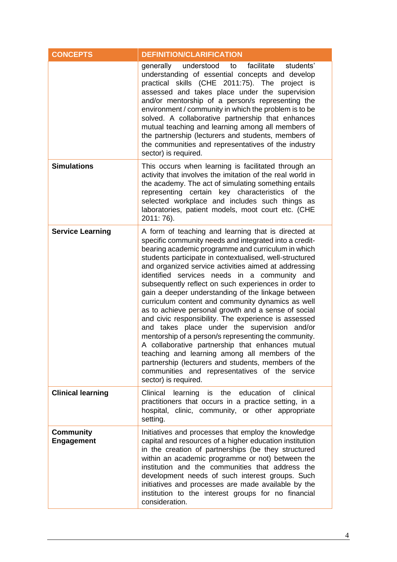| <b>CONCEPTS</b>                       | <b>DEFINITION/CLARIFICATION</b>                                                                                                                                                                                                                                                                                                                                                                                                                                                                                                                                                                                                                                                                                                                                                                                                                                                                                                                                         |
|---------------------------------------|-------------------------------------------------------------------------------------------------------------------------------------------------------------------------------------------------------------------------------------------------------------------------------------------------------------------------------------------------------------------------------------------------------------------------------------------------------------------------------------------------------------------------------------------------------------------------------------------------------------------------------------------------------------------------------------------------------------------------------------------------------------------------------------------------------------------------------------------------------------------------------------------------------------------------------------------------------------------------|
|                                       | understood<br>facilitate<br>generally<br>to<br>students'<br>understanding of essential concepts and develop<br>practical skills (CHE 2011:75). The project is<br>assessed and takes place under the supervision<br>and/or mentorship of a person/s representing the<br>environment / community in which the problem is to be<br>solved. A collaborative partnership that enhances<br>mutual teaching and learning among all members of<br>the partnership (lecturers and students, members of<br>the communities and representatives of the industry<br>sector) is required.                                                                                                                                                                                                                                                                                                                                                                                            |
| <b>Simulations</b>                    | This occurs when learning is facilitated through an<br>activity that involves the imitation of the real world in<br>the academy. The act of simulating something entails<br>representing certain key characteristics of the<br>selected workplace and includes such things as<br>laboratories, patient models, moot court etc. (CHE<br>2011: 76).                                                                                                                                                                                                                                                                                                                                                                                                                                                                                                                                                                                                                       |
| <b>Service Learning</b>               | A form of teaching and learning that is directed at<br>specific community needs and integrated into a credit-<br>bearing academic programme and curriculum in which<br>students participate in contextualised, well-structured<br>and organized service activities aimed at addressing<br>identified services needs in a community and<br>subsequently reflect on such experiences in order to<br>gain a deeper understanding of the linkage between<br>curriculum content and community dynamics as well<br>as to achieve personal growth and a sense of social<br>and civic responsibility. The experience is assessed<br>and takes place under the supervision and/or<br>mentorship of a person/s representing the community.<br>A collaborative partnership that enhances mutual<br>teaching and learning among all members of the<br>partnership (lecturers and students, members of the<br>communities and representatives of the service<br>sector) is required. |
| <b>Clinical learning</b>              | Clinical<br>learning is the education of clinical<br>practitioners that occurs in a practice setting, in a<br>hospital, clinic, community, or other appropriate<br>setting.                                                                                                                                                                                                                                                                                                                                                                                                                                                                                                                                                                                                                                                                                                                                                                                             |
| <b>Community</b><br><b>Engagement</b> | Initiatives and processes that employ the knowledge<br>capital and resources of a higher education institution<br>in the creation of partnerships (be they structured<br>within an academic programme or not) between the<br>institution and the communities that address the<br>development needs of such interest groups. Such<br>initiatives and processes are made available by the<br>institution to the interest groups for no financial<br>consideration.                                                                                                                                                                                                                                                                                                                                                                                                                                                                                                        |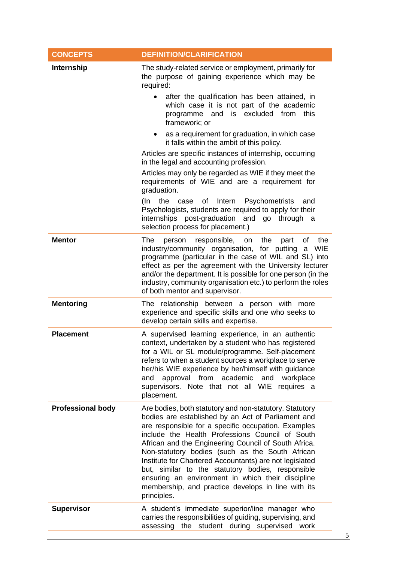| <b>CONCEPTS</b>          | <b>DEFINITION/CLARIFICATION</b>                                                                                                                                                                                                                                                                                                                                                                                                                                                                                                                                                                                                                                                                                                                                                          |
|--------------------------|------------------------------------------------------------------------------------------------------------------------------------------------------------------------------------------------------------------------------------------------------------------------------------------------------------------------------------------------------------------------------------------------------------------------------------------------------------------------------------------------------------------------------------------------------------------------------------------------------------------------------------------------------------------------------------------------------------------------------------------------------------------------------------------|
| Internship               | The study-related service or employment, primarily for<br>the purpose of gaining experience which may be<br>required:<br>after the qualification has been attained, in<br>$\bullet$<br>which case it is not part of the academic<br>programme and is excluded from<br>this<br>framework; or<br>as a requirement for graduation, in which case<br>it falls within the ambit of this policy.<br>Articles are specific instances of internship, occurring<br>in the legal and accounting profession.<br>Articles may only be regarded as WIE if they meet the<br>requirements of WIE and are a requirement for<br>graduation.<br>(In<br>the case of Intern Psychometrists<br>and<br>Psychologists, students are required to apply for their<br>internships post-graduation and go through a |
|                          | selection process for placement.)                                                                                                                                                                                                                                                                                                                                                                                                                                                                                                                                                                                                                                                                                                                                                        |
| <b>Mentor</b>            | The<br>responsible, on the<br>part<br>of<br>person<br>the<br>industry/community organisation, for putting a<br>WIE<br>programme (particular in the case of WIL and SL) into<br>effect as per the agreement with the University lecturer<br>and/or the department. It is possible for one person (in the<br>industry, community organisation etc.) to perform the roles<br>of both mentor and supervisor.                                                                                                                                                                                                                                                                                                                                                                                 |
| <b>Mentoring</b>         | The relationship between a person with more<br>experience and specific skills and one who seeks to<br>develop certain skills and expertise.                                                                                                                                                                                                                                                                                                                                                                                                                                                                                                                                                                                                                                              |
| <b>Placement</b>         | A supervised learning experience, in an authentic<br>context, undertaken by a student who has registered<br>for a WIL or SL module/programme. Self-placement<br>refers to when a student sources a workplace to serve<br>her/his WIE experience by her/himself with guidance<br>and approval from academic and<br>workplace<br>supervisors. Note that not all WIE requires a<br>placement.                                                                                                                                                                                                                                                                                                                                                                                               |
| <b>Professional body</b> | Are bodies, both statutory and non-statutory. Statutory<br>bodies are established by an Act of Parliament and<br>are responsible for a specific occupation. Examples<br>include the Health Professions Council of South<br>African and the Engineering Council of South Africa.<br>Non-statutory bodies (such as the South African<br>Institute for Chartered Accountants) are not legislated<br>but, similar to the statutory bodies, responsible<br>ensuring an environment in which their discipline<br>membership, and practice develops in line with its<br>principles.                                                                                                                                                                                                             |
| <b>Supervisor</b>        | A student's immediate superior/line manager who<br>carries the responsibilities of guiding, supervising, and<br>assessing<br>the<br>student during supervised<br>work                                                                                                                                                                                                                                                                                                                                                                                                                                                                                                                                                                                                                    |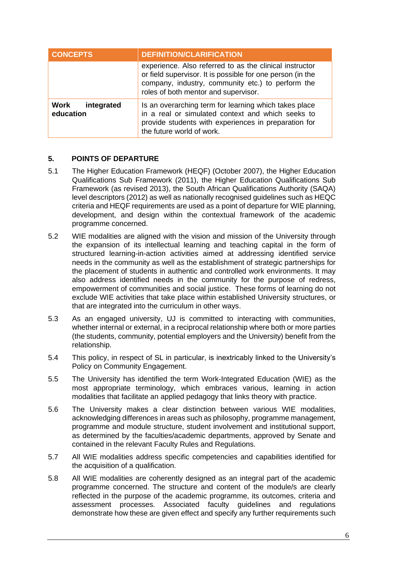| <b>CONCEPTS</b>                 | <b>DEFINITION/CLARIFICATION</b>                                                                                                                                                                                    |
|---------------------------------|--------------------------------------------------------------------------------------------------------------------------------------------------------------------------------------------------------------------|
|                                 | experience. Also referred to as the clinical instructor<br>or field supervisor. It is possible for one person (in the<br>company, industry, community etc.) to perform the<br>roles of both mentor and supervisor. |
| Work<br>integrated<br>education | Is an overarching term for learning which takes place<br>in a real or simulated context and which seeks to<br>provide students with experiences in preparation for<br>the future world of work.                    |

# <span id="page-8-0"></span>**5. POINTS OF DEPARTURE**

- 5.1 The Higher Education Framework (HEQF) (October 2007), the Higher Education Qualifications Sub Framework (2011), the Higher Education Qualifications Sub Framework (as revised 2013), the South African Qualifications Authority (SAQA) level descriptors (2012) as well as nationally recognised guidelines such as HEQC criteria and HEQF requirements are used as a point of departure for WIE planning, development, and design within the contextual framework of the academic programme concerned.
- 5.2 WIE modalities are aligned with the vision and mission of the University through the expansion of its intellectual learning and teaching capital in the form of structured learning-in-action activities aimed at addressing identified service needs in the community as well as the establishment of strategic partnerships for the placement of students in authentic and controlled work environments. It may also address identified needs in the community for the purpose of redress, empowerment of communities and social justice. These forms of learning do not exclude WIE activities that take place within established University structures, or that are integrated into the curriculum in other ways.
- 5.3 As an engaged university, UJ is committed to interacting with communities, whether internal or external, in a reciprocal relationship where both or more parties (the students, community, potential employers and the University) benefit from the relationship.
- 5.4 This policy, in respect of SL in particular, is inextricably linked to the University's Policy on Community Engagement.
- 5.5 The University has identified the term Work-Integrated Education (WIE) as the most appropriate terminology, which embraces various, learning in action modalities that facilitate an applied pedagogy that links theory with practice.
- 5.6 The University makes a clear distinction between various WIE modalities, acknowledging differences in areas such as philosophy, programme management, programme and module structure, student involvement and institutional support, as determined by the faculties/academic departments, approved by Senate and contained in the relevant Faculty Rules and Regulations.
- 5.7 All WIE modalities address specific competencies and capabilities identified for the acquisition of a qualification.
- 5.8 All WIE modalities are coherently designed as an integral part of the academic programme concerned. The structure and content of the module/s are clearly reflected in the purpose of the academic programme, its outcomes, criteria and assessment processes. Associated faculty guidelines and regulations demonstrate how these are given effect and specify any further requirements such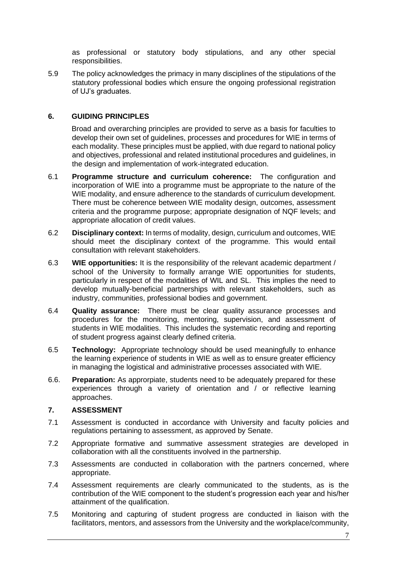as professional or statutory body stipulations, and any other special responsibilities.

5.9 The policy acknowledges the primacy in many disciplines of the stipulations of the statutory professional bodies which ensure the ongoing professional registration of UJ's graduates.

# <span id="page-9-0"></span>**6. GUIDING PRINCIPLES**

Broad and overarching principles are provided to serve as a basis for faculties to develop their own set of guidelines, processes and procedures for WIE in terms of each modality. These principles must be applied, with due regard to national policy and objectives, professional and related institutional procedures and guidelines, in the design and implementation of work-integrated education.

- 6.1 **Programme structure and curriculum coherence:** The configuration and incorporation of WIE into a programme must be appropriate to the nature of the WIE modality, and ensure adherence to the standards of curriculum development. There must be coherence between WIE modality design, outcomes, assessment criteria and the programme purpose; appropriate designation of NQF levels; and appropriate allocation of credit values.
- 6.2 **Disciplinary context:** In terms of modality, design, curriculum and outcomes, WIE should meet the disciplinary context of the programme. This would entail consultation with relevant stakeholders.
- 6.3 **WIE opportunities:** It is the responsibility of the relevant academic department / school of the University to formally arrange WIE opportunities for students, particularly in respect of the modalities of WIL and SL. This implies the need to develop mutually-beneficial partnerships with relevant stakeholders, such as industry, communities, professional bodies and government.
- 6.4 **Quality assurance:** There must be clear quality assurance processes and procedures for the monitoring, mentoring, supervision, and assessment of students in WIE modalities. This includes the systematic recording and reporting of student progress against clearly defined criteria.
- 6.5 **Technology:** Appropriate technology should be used meaningfully to enhance the learning experience of students in WIE as well as to ensure greater efficiency in managing the logistical and administrative processes associated with WIE.
- 6.6. **Preparation:** As approrpiate, students need to be adequately prepared for these experiences through a variety of orientation and / or reflective learning approaches.

# <span id="page-9-1"></span>**7. ASSESSMENT**

- 7.1 Assessment is conducted in accordance with University and faculty policies and regulations pertaining to assessment, as approved by Senate.
- 7.2 Appropriate formative and summative assessment strategies are developed in collaboration with all the constituents involved in the partnership.
- 7.3 Assessments are conducted in collaboration with the partners concerned, where appropriate.
- 7.4 Assessment requirements are clearly communicated to the students, as is the contribution of the WIE component to the student's progression each year and his/her attainment of the qualification.
- 7.5 Monitoring and capturing of student progress are conducted in liaison with the facilitators, mentors, and assessors from the University and the workplace/community,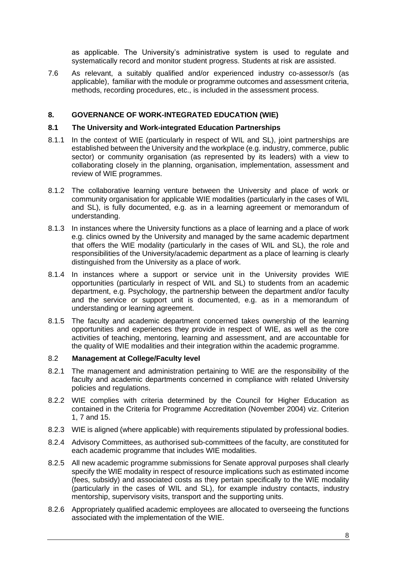as applicable. The University's administrative system is used to regulate and systematically record and monitor student progress. Students at risk are assisted.

7.6 As relevant, a suitably qualified and/or experienced industry co-assessor/s (as applicable), familiar with the module or programme outcomes and assessment criteria, methods, recording procedures, etc., is included in the assessment process.

# <span id="page-10-0"></span>**8. GOVERNANCE OF WORK-INTEGRATED EDUCATION (WIE)**

### **8.1 The University and Work-integrated Education Partnerships**

- 8.1.1 In the context of WIE (particularly in respect of WIL and SL), joint partnerships are established between the University and the workplace (e.g. industry, commerce, public sector) or community organisation (as represented by its leaders) with a view to collaborating closely in the planning, organisation, implementation, assessment and review of WIE programmes.
- 8.1.2 The collaborative learning venture between the University and place of work or community organisation for applicable WIE modalities (particularly in the cases of WIL and SL), is fully documented, e.g. as in a learning agreement or memorandum of understanding.
- 8.1.3 In instances where the University functions as a place of learning and a place of work e.g. clinics owned by the University and managed by the same academic department that offers the WIE modality (particularly in the cases of WIL and SL), the role and responsibilities of the University/academic department as a place of learning is clearly distinguished from the University as a place of work.
- 8.1.4 In instances where a support or service unit in the University provides WIE opportunities (particularly in respect of WIL and SL) to students from an academic department, e.g. Psychology, the partnership between the department and/or faculty and the service or support unit is documented, e.g. as in a memorandum of understanding or learning agreement.
- 8.1.5 The faculty and academic department concerned takes ownership of the learning opportunities and experiences they provide in respect of WIE, as well as the core activities of teaching, mentoring, learning and assessment, and are accountable for the quality of WIE modalities and their integration within the academic programme.

#### 8.2 **Management at College/Faculty level**

- 8.2.1 The management and administration pertaining to WIE are the responsibility of the faculty and academic departments concerned in compliance with related University policies and regulations.
- 8.2.2 WIE complies with criteria determined by the Council for Higher Education as contained in the Criteria for Programme Accreditation (November 2004) viz. Criterion 1, 7 and 15.
- 8.2.3 WIE is aligned (where applicable) with requirements stipulated by professional bodies.
- 8.2.4 Advisory Committees, as authorised sub-committees of the faculty, are constituted for each academic programme that includes WIE modalities.
- 8.2.5 All new academic programme submissions for Senate approval purposes shall clearly specify the WIE modality in respect of resource implications such as estimated income (fees, subsidy) and associated costs as they pertain specifically to the WIE modality (particularly in the cases of WIL and SL), for example industry contacts, industry mentorship, supervisory visits, transport and the supporting units.
- 8.2.6 Appropriately qualified academic employees are allocated to overseeing the functions associated with the implementation of the WIE.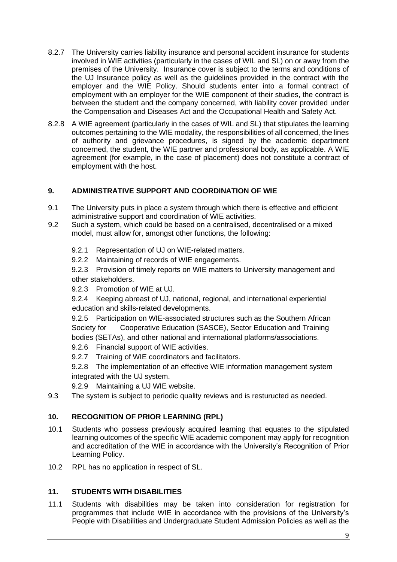- 8.2.7 The University carries liability insurance and personal accident insurance for students involved in WIE activities (particularly in the cases of WIL and SL) on or away from the premises of the University. Insurance cover is subject to the terms and conditions of the UJ Insurance policy as well as the guidelines provided in the contract with the employer and the WIE Policy. Should students enter into a formal contract of employment with an employer for the WIE component of their studies, the contract is between the student and the company concerned, with liability cover provided under the Compensation and Diseases Act and the Occupational Health and Safety Act.
- 8.2.8 A WIE agreement (particularly in the cases of WIL and SL) that stipulates the learning outcomes pertaining to the WIE modality, the responsibilities of all concerned, the lines of authority and grievance procedures, is signed by the academic department concerned, the student, the WIE partner and professional body, as applicable. A WIE agreement (for example, in the case of placement) does not constitute a contract of employment with the host.

# <span id="page-11-0"></span>**9. ADMINISTRATIVE SUPPORT AND COORDINATION OF WIE**

- 9.1 The University puts in place a system through which there is effective and efficient administrative support and coordination of WIE activities.
- 9.2 Such a system, which could be based on a centralised, decentralised or a mixed model, must allow for, amongst other functions, the following:
	- 9.2.1 Representation of UJ on WIE-related matters.
	- 9.2.2 Maintaining of records of WIE engagements.
	- 9.2.3 Provision of timely reports on WIE matters to University management and other stakeholders.
	- 9.2.3 Promotion of WIE at UJ.
	- 9.2.4 Keeping abreast of UJ, national, regional, and international experiential education and skills-related developments.

9.2.5 Participation on WIE-associated structures such as the Southern African Society for Cooperative Education (SASCE), Sector Education and Training bodies (SETAs), and other national and international platforms/associations.

- 9.2.6 Financial support of WIE activities.
- 9.2.7 Training of WIE coordinators and facilitators.
- 9.2.8 The implementation of an effective WIE information management system integrated with the UJ system.
- 9.2.9 Maintaining a UJ WIE website.
- 9.3 The system is subject to periodic quality reviews and is resturucted as needed.

# <span id="page-11-1"></span>**10. RECOGNITION OF PRIOR LEARNING (RPL)**

- 10.1 Students who possess previously acquired learning that equates to the stipulated learning outcomes of the specific WIE academic component may apply for recognition and accreditation of the WIE in accordance with the University's Recognition of Prior Learning Policy.
- 10.2 RPL has no application in respect of SL.

# <span id="page-11-2"></span>**11. STUDENTS WITH DISABILITIES**

11.1 Students with disabilities may be taken into consideration for registration for programmes that include WIE in accordance with the provisions of the University's People with Disabilities and Undergraduate Student Admission Policies as well as the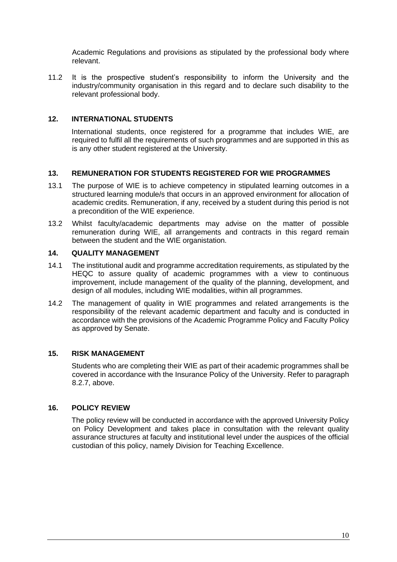Academic Regulations and provisions as stipulated by the professional body where relevant.

11.2 It is the prospective student's responsibility to inform the University and the industry/community organisation in this regard and to declare such disability to the relevant professional body.

# <span id="page-12-0"></span>**12. INTERNATIONAL STUDENTS**

International students, once registered for a programme that includes WIE, are required to fulfil all the requirements of such programmes and are supported in this as is any other student registered at the University.

# <span id="page-12-1"></span>**13. REMUNERATION FOR STUDENTS REGISTERED FOR WIE PROGRAMMES**

- 13.1 The purpose of WIE is to achieve competency in stipulated learning outcomes in a structured learning module/s that occurs in an approved environment for allocation of academic credits. Remuneration, if any, received by a student during this period is not a precondition of the WIE experience.
- 13.2 Whilst faculty/academic departments may advise on the matter of possible remuneration during WIE, all arrangements and contracts in this regard remain between the student and the WIE organistation.

# <span id="page-12-2"></span>**14. QUALITY MANAGEMENT**

- 14.1 The institutional audit and programme accreditation requirements, as stipulated by the HEQC to assure quality of academic programmes with a view to continuous improvement, include management of the quality of the planning, development, and design of all modules, including WIE modalities, within all programmes.
- 14.2 The management of quality in WIE programmes and related arrangements is the responsibility of the relevant academic department and faculty and is conducted in accordance with the provisions of the Academic Programme Policy and Faculty Policy as approved by Senate.

# <span id="page-12-3"></span>**15. RISK MANAGEMENT**

Students who are completing their WIE as part of their academic programmes shall be covered in accordance with the Insurance Policy of the University. Refer to paragraph 8.2.7, above.

# <span id="page-12-4"></span>**16. POLICY REVIEW**

The policy review will be conducted in accordance with the approved University Policy on Policy Development and takes place in consultation with the relevant quality assurance structures at faculty and institutional level under the auspices of the official custodian of this policy, namely Division for Teaching Excellence.